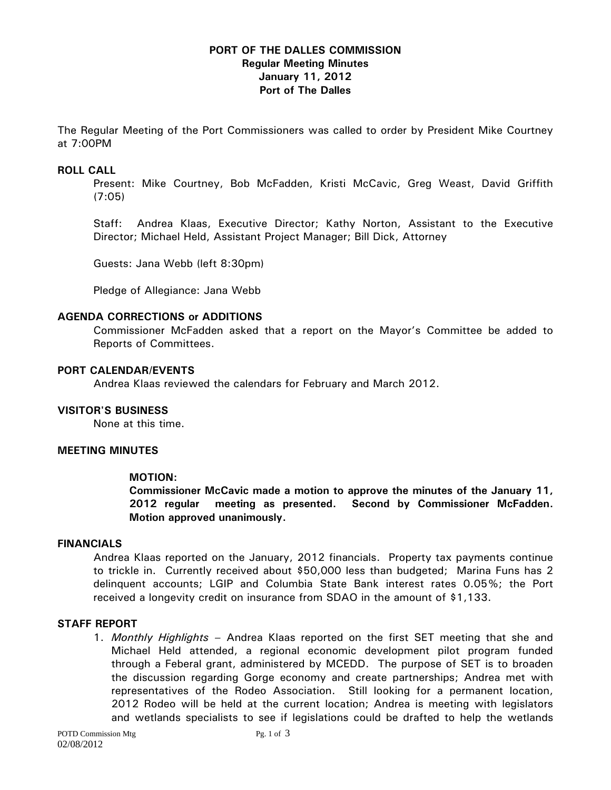# **PORT OF THE DALLES COMMISSION Regular Meeting Minutes January 11, 2012 Port of The Dalles**

The Regular Meeting of the Port Commissioners was called to order by President Mike Courtney at 7:00PM

## **ROLL CALL**

Present: Mike Courtney, Bob McFadden, Kristi McCavic, Greg Weast, David Griffith (7:05)

Staff: Andrea Klaas, Executive Director; Kathy Norton, Assistant to the Executive Director; Michael Held, Assistant Project Manager; Bill Dick, Attorney

Guests: Jana Webb (left 8:30pm)

Pledge of Allegiance: Jana Webb

### **AGENDA CORRECTIONS or ADDITIONS**

Commissioner McFadden asked that a report on the Mayor's Committee be added to Reports of Committees.

## **PORT CALENDAR/EVENTS**

Andrea Klaas reviewed the calendars for February and March 2012.

# **VISITOR'S BUSINESS**

None at this time.

#### **MEETING MINUTES**

# **MOTION:**

**Commissioner McCavic made a motion to approve the minutes of the January 11, 2012 regular meeting as presented. Second by Commissioner McFadden. Motion approved unanimously.** 

## **FINANCIALS**

Andrea Klaas reported on the January, 2012 financials. Property tax payments continue to trickle in. Currently received about \$50,000 less than budgeted; Marina Funs has 2 delinquent accounts; LGIP and Columbia State Bank interest rates 0.05%; the Port received a longevity credit on insurance from SDAO in the amount of \$1,133.

#### **STAFF REPORT**

1. *Monthly Highlights –* Andrea Klaas reported on the first SET meeting that she and Michael Held attended, a regional economic development pilot program funded through a Feberal grant, administered by MCEDD. The purpose of SET is to broaden the discussion regarding Gorge economy and create partnerships; Andrea met with representatives of the Rodeo Association. Still looking for a permanent location, 2012 Rodeo will be held at the current location; Andrea is meeting with legislators and wetlands specialists to see if legislations could be drafted to help the wetlands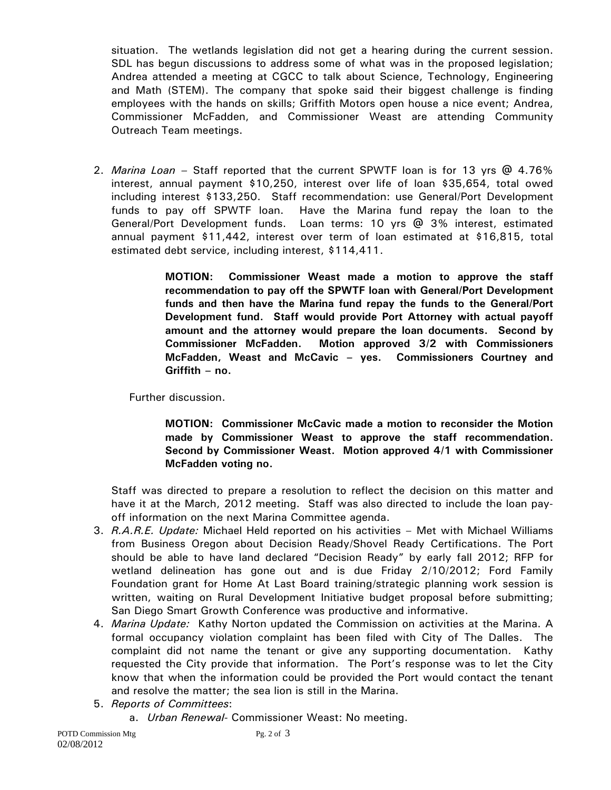situation. The wetlands legislation did not get a hearing during the current session. SDL has begun discussions to address some of what was in the proposed legislation; Andrea attended a meeting at CGCC to talk about Science, Technology, Engineering and Math (STEM). The company that spoke said their biggest challenge is finding employees with the hands on skills; Griffith Motors open house a nice event; Andrea, Commissioner McFadden, and Commissioner Weast are attending Community Outreach Team meetings.

2. *Marina Loan –* Staff reported that the current SPWTF loan is for 13 yrs @ 4.76% interest, annual payment \$10,250, interest over life of loan \$35,654, total owed including interest \$133,250. Staff recommendation: use General/Port Development funds to pay off SPWTF loan. Have the Marina fund repay the loan to the General/Port Development funds. Loan terms: 10 yrs @ 3% interest, estimated annual payment \$11,442, interest over term of loan estimated at \$16,815, total estimated debt service, including interest, \$114,411.

> **MOTION: Commissioner Weast made a motion to approve the staff recommendation to pay off the SPWTF loan with General/Port Development funds and then have the Marina fund repay the funds to the General/Port Development fund. Staff would provide Port Attorney with actual payoff amount and the attorney would prepare the loan documents. Second by Commissioner McFadden. Motion approved 3/2 with Commissioners McFadden, Weast and McCavic – yes. Commissioners Courtney and Griffith – no.**

Further discussion.

**MOTION: Commissioner McCavic made a motion to reconsider the Motion made by Commissioner Weast to approve the staff recommendation. Second by Commissioner Weast. Motion approved 4/1 with Commissioner McFadden voting no.** 

Staff was directed to prepare a resolution to reflect the decision on this matter and have it at the March, 2012 meeting. Staff was also directed to include the loan payoff information on the next Marina Committee agenda.

- 3. *R.A.R.E. Update:* Michael Held reported on his activities Met with Michael Williams from Business Oregon about Decision Ready/Shovel Ready Certifications. The Port should be able to have land declared "Decision Ready" by early fall 2012; RFP for wetland delineation has gone out and is due Friday 2/10/2012; Ford Family Foundation grant for Home At Last Board training/strategic planning work session is written, waiting on Rural Development Initiative budget proposal before submitting; San Diego Smart Growth Conference was productive and informative.
- 4. *Marina Update:* Kathy Norton updated the Commission on activities at the Marina. A formal occupancy violation complaint has been filed with City of The Dalles. The complaint did not name the tenant or give any supporting documentation. Kathy requested the City provide that information. The Port's response was to let the City know that when the information could be provided the Port would contact the tenant and resolve the matter; the sea lion is still in the Marina.
- 5. *Reports of Committees*:
	- a. *Urban Renewal-* Commissioner Weast: No meeting.